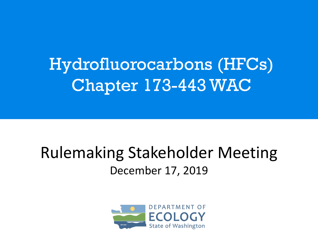### Hydrofluorocarbons (HFCs) Chapter 173-443 WAC

### Rulemaking Stakeholder Meeting December 17, 2019

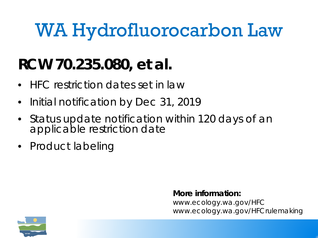## WA Hydrofluorocarbon Law

### **RCW 70.235.080, et al.**

- HFC restriction dates set in law
- Initial notification by Dec 31, 2019
- Status update notification within 120 days of an applicable restriction date
- Product labeling

#### **More information:**

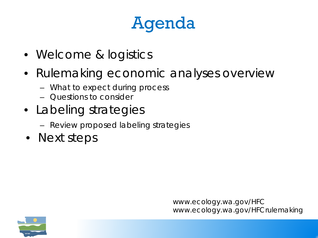### Agenda

- Welcome & logistics
- Rulemaking economic analyses overview
	- What to expect during process
	- Questions to consider
- Labeling strategies
	- Review proposed labeling strategies
- Next steps

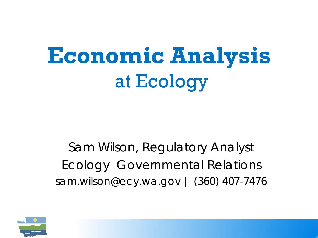# **Economic Analysis** at Ecology

Sam Wilson, Regulatory Analyst Ecology Governmental Relations sam.wilson@ecy.wa.gov | (360) 407-7476

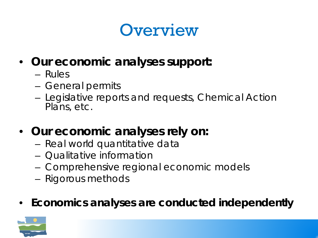### **Overview**

- **Our economic analyses support:**
	- Rules
	- General permits
	- Legislative reports and requests, Chemical Action Plans, etc.
- **Our economic analyses rely on:**
	- Real world quantitative data
	- Qualitative information
	- Comprehensive regional economic models
	- Rigorous methods
- **Economics analyses are conducted independently**

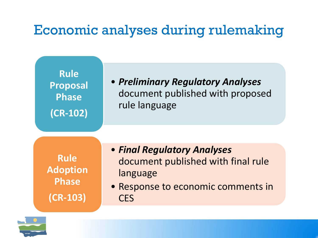### Economic analyses during rulemaking



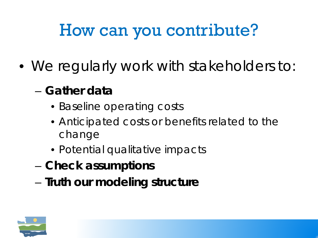### How can you contribute?

- We regularly work with stakeholders to:
	- **Gather data**
		- Baseline operating costs
		- Anticipated costs or benefits related to the change
		- Potential qualitative impacts
	- **Check assumptions**
	- **Truth our modeling structure**

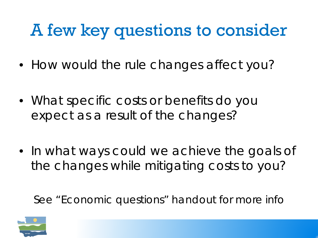### A few key questions to consider

- How would the rule changes affect you?
- What specific costs or benefits do you expect as a result of the changes?
- In what ways could we achieve the goals of the changes while mitigating costs to you?

See "Economic questions" handout for more info

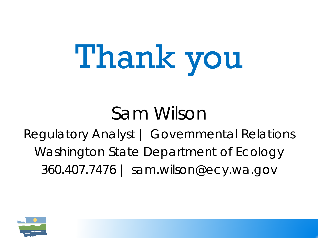# Thank you

### Sam Wilson

### Regulatory Analyst | Governmental Relations Washington State Department of Ecology 360.407.7476 | sam.wilson@ecy.wa.gov

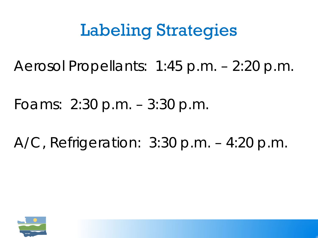### Labeling Strategies

Aerosol Propellants: 1:45 p.m. – 2:20 p.m.

Foams: 2:30 p.m. – 3:30 p.m.

A/C, Refrigeration: 3:30 p.m. – 4:20 p.m.

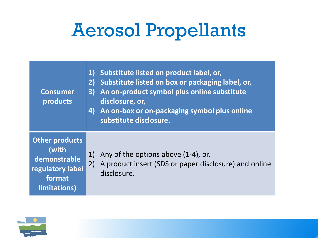### Aerosol Propellants

| <b>Consumer</b><br>products                                                                  | $\mathbf{1}$<br>2)<br>3)<br>4) | Substitute listed on product label, or,<br>Substitute listed on box or packaging label, or,<br>An on-product symbol plus online substitute<br>disclosure, or,<br>An on-box or on-packaging symbol plus online<br>substitute disclosure. |
|----------------------------------------------------------------------------------------------|--------------------------------|-----------------------------------------------------------------------------------------------------------------------------------------------------------------------------------------------------------------------------------------|
| <b>Other products</b><br>(with<br>demonstrable<br>regulatory label<br>format<br>limitations) | 1)<br>2)                       | Any of the options above (1-4), or,<br>A product insert (SDS or paper disclosure) and online<br>disclosure.                                                                                                                             |

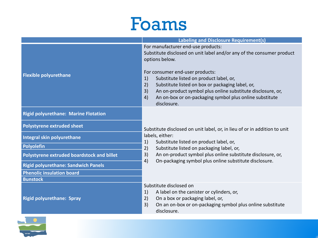### Foams

|                                             | <b>Labeling and Disclosure Requirement(s)</b>                                                                                                                                                                                                                                                                                                                                                                                    |  |  |
|---------------------------------------------|----------------------------------------------------------------------------------------------------------------------------------------------------------------------------------------------------------------------------------------------------------------------------------------------------------------------------------------------------------------------------------------------------------------------------------|--|--|
| <b>Flexible polyurethane</b>                | For manufacturer end-use products:<br>Substitute disclosed on unit label and/or any of the consumer product<br>options below.<br>For consumer end-user products:<br>Substitute listed on product label, or,<br>1)<br>2)<br>Substitute listed on box or packaging label, or,<br>3)<br>An on-product symbol plus online substitute disclosure, or,<br>4)<br>An on-box or on-packaging symbol plus online substitute<br>disclosure. |  |  |
| <b>Rigid polyurethane: Marine Flotation</b> |                                                                                                                                                                                                                                                                                                                                                                                                                                  |  |  |
| <b>Polystyrene extruded sheet</b>           | Substitute disclosed on unit label, or, in lieu of or in addition to unit                                                                                                                                                                                                                                                                                                                                                        |  |  |
| Integral skin polyurethane                  | labels, either:<br>1)<br>Substitute listed on product label, or,<br>2)<br>Substitute listed on packaging label, or,                                                                                                                                                                                                                                                                                                              |  |  |
| Polyolefin                                  |                                                                                                                                                                                                                                                                                                                                                                                                                                  |  |  |
| Polystyrene extruded boardstock and billet  | 3)<br>An on-product symbol plus online substitute disclosure, or,<br>4)<br>On-packaging symbol plus online substitute disclosure.                                                                                                                                                                                                                                                                                                |  |  |
| <b>Rigid polyurethane: Sandwich Panels</b>  |                                                                                                                                                                                                                                                                                                                                                                                                                                  |  |  |
| <b>Phenolic insulation board</b>            |                                                                                                                                                                                                                                                                                                                                                                                                                                  |  |  |
| <b>Bunstock</b>                             |                                                                                                                                                                                                                                                                                                                                                                                                                                  |  |  |
| <b>Rigid polyurethane: Spray</b>            | Substitute disclosed on<br>A label on the canister or cylinders, or,<br>1)<br>2)<br>On a box or packaging label, or,<br>3)<br>On an on-box or on-packaging symbol plus online substitute<br>disclosure.                                                                                                                                                                                                                          |  |  |

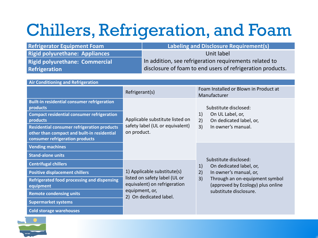### Chillers, Refrigeration, and Foam

| <b>Refrigerator Equipment Foam</b>                                                                                                   |                | <b>Labeling and Disclosure Requirement(s)</b>                                                |                                                                           |  |  |  |  |
|--------------------------------------------------------------------------------------------------------------------------------------|----------------|----------------------------------------------------------------------------------------------|---------------------------------------------------------------------------|--|--|--|--|
| <b>Rigid polyurethane: Appliances</b>                                                                                                |                | Unit label                                                                                   |                                                                           |  |  |  |  |
| <b>Rigid polyurethane: Commercial</b>                                                                                                |                | In addition, see refrigeration requirements related to                                       |                                                                           |  |  |  |  |
| Refrigeration                                                                                                                        |                | disclosure of foam to end users of refrigeration products.                                   |                                                                           |  |  |  |  |
|                                                                                                                                      |                |                                                                                              |                                                                           |  |  |  |  |
| <b>Air Conditioning and Refrigeration</b>                                                                                            |                |                                                                                              |                                                                           |  |  |  |  |
|                                                                                                                                      | Refrigerant(s) |                                                                                              | Foam Installed or Blown in Product at<br>Manufacturer                     |  |  |  |  |
| <b>Built-in residential consumer refrigeration</b><br>products                                                                       |                | Applicable substitute listed on<br>safety label (UL or equivalent)                           | Substitute disclosed:                                                     |  |  |  |  |
| <b>Compact residential consumer refrigeration</b><br>products                                                                        |                |                                                                                              | On UL Label, or,<br>1)<br>On dedicated label, or,<br>2)                   |  |  |  |  |
| <b>Residential consumer refrigeration products</b><br>other than compact and built-in residential<br>consumer refrigeration products | on product.    |                                                                                              | 3)<br>In owner's manual.                                                  |  |  |  |  |
| <b>Vending machines</b>                                                                                                              |                |                                                                                              |                                                                           |  |  |  |  |
| <b>Stand-alone units</b>                                                                                                             |                |                                                                                              | Substitute disclosed:                                                     |  |  |  |  |
| <b>Centrifugal chillers</b>                                                                                                          |                | 1) Applicable substitute(s)<br>listed on safety label (UL or<br>equivalent) on refrigeration | On dedicated label, or,<br>1)                                             |  |  |  |  |
| <b>Positive displacement chillers</b>                                                                                                |                |                                                                                              | 2)<br>In owner's manual, or,                                              |  |  |  |  |
| <b>Refrigerated food processing and dispensing</b><br>equipment                                                                      |                |                                                                                              | 3)<br>Through an on-equipment symbol<br>(approved by Ecology) plus online |  |  |  |  |
| <b>Remote condensing units</b>                                                                                                       |                | equipment, or,<br>2) On dedicated label.                                                     | substitute disclosure.                                                    |  |  |  |  |
| <b>Supermarket systems</b>                                                                                                           |                |                                                                                              |                                                                           |  |  |  |  |



**Cold storage warehouses**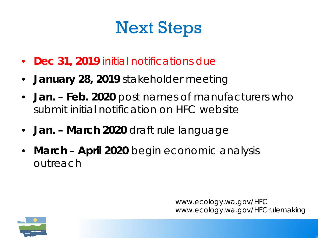### Next Steps

- **Dec 31, 2019** initial notifications due
- **January 28, 2019** stakeholder meeting
- **Jan. – Feb. 2020** post names of manufacturers who submit initial notification on HFC website
- **Jan. – March 2020** draft rule language
- **March – April 2020** begin economic analysis outreach

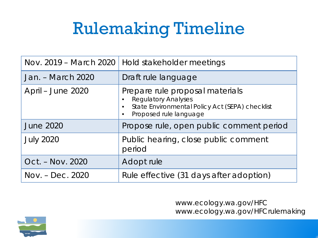### Rulemaking Timeline

|                   | Nov. 2019 - March 2020   Hold stakeholder meetings                                                                                                                   |  |  |  |
|-------------------|----------------------------------------------------------------------------------------------------------------------------------------------------------------------|--|--|--|
| Jan. – March 2020 | Draft rule language                                                                                                                                                  |  |  |  |
| April – June 2020 | Prepare rule proposal materials<br><b>Regulatory Analyses</b><br>State Environmental Policy Act (SEPA) checklist<br>$\bullet$<br>Proposed rule language<br>$\bullet$ |  |  |  |
| <b>June 2020</b>  | Propose rule, open public comment period                                                                                                                             |  |  |  |
| <b>July 2020</b>  | Public hearing, close public comment<br>period                                                                                                                       |  |  |  |
| Oct. – Nov. 2020  | Adopt rule                                                                                                                                                           |  |  |  |
| Nov. – Dec. 2020  | Rule effective (31 days after adoption)                                                                                                                              |  |  |  |